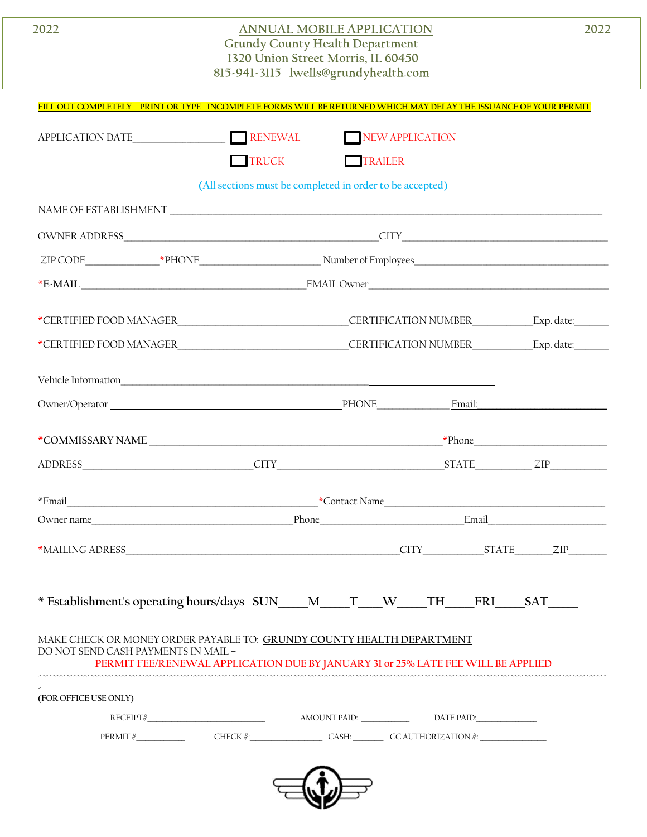| 2022                                | <b>ANNUAL MOBILE APPLICATION</b><br><b>Grundy County Health Department</b><br>1320 Union Street Morris, IL 60450<br>815-941-3115 lwells@grundyhealth.com                                                                       |                 |  | 2022      |  |  |
|-------------------------------------|--------------------------------------------------------------------------------------------------------------------------------------------------------------------------------------------------------------------------------|-----------------|--|-----------|--|--|
|                                     | FILL OUT COMPLETELY - PRINT OR TYPE -INCOMPLETE FORMS WILL BE RETURNED WHICH MAY DELAY THE ISSUANCE OF YOUR PERMIT                                                                                                             |                 |  |           |  |  |
| APPLICATION DATE                    | RENEWAL                                                                                                                                                                                                                        | NEW APPLICATION |  |           |  |  |
|                                     | $\Box$ TRUCK                                                                                                                                                                                                                   | TRAILER         |  |           |  |  |
|                                     | (All sections must be completed in order to be accepted)                                                                                                                                                                       |                 |  |           |  |  |
|                                     |                                                                                                                                                                                                                                |                 |  |           |  |  |
|                                     | OWNER ADDRESS CONNERT AND RESIDENCE ON A CITY CONNERT ADDRESS                                                                                                                                                                  |                 |  |           |  |  |
|                                     |                                                                                                                                                                                                                                |                 |  |           |  |  |
|                                     |                                                                                                                                                                                                                                |                 |  |           |  |  |
|                                     |                                                                                                                                                                                                                                |                 |  |           |  |  |
|                                     |                                                                                                                                                                                                                                |                 |  |           |  |  |
|                                     |                                                                                                                                                                                                                                |                 |  |           |  |  |
|                                     |                                                                                                                                                                                                                                |                 |  |           |  |  |
|                                     | Owner/Operator Email: Email: Email: Email: Email: Email: Email: Email: Email: Email: Email: Email: Email: Email: Email: Email: Email: Email: Email: Email: Email: Email: Email: Email: Email: Email: Email: Email: Email: Emai |                 |  |           |  |  |
|                                     | *COMMISSARY NAME                                                                                                                                                                                                               |                 |  | $*$ Phone |  |  |
|                                     | ADDRESS ZIP ZIP                                                                                                                                                                                                                |                 |  |           |  |  |
|                                     |                                                                                                                                                                                                                                |                 |  |           |  |  |
|                                     |                                                                                                                                                                                                                                |                 |  |           |  |  |
|                                     |                                                                                                                                                                                                                                |                 |  |           |  |  |
|                                     | * Establishment's operating hours/days SUN___M___T__W___TH___FRI___SAT___                                                                                                                                                      |                 |  |           |  |  |
| DO NOT SEND CASH PAYMENTS IN MAIL - | MAKE CHECK OR MONEY ORDER PAYABLE TO: GRUNDY COUNTY HEALTH DEPARTMENT<br>PERMIT FEE/RENEWAL APPLICATION DUE BY JANUARY 31 or 25% LATE FEE WILL BE APPLIED                                                                      |                 |  |           |  |  |
| (FOR OFFICE USE ONLY)               |                                                                                                                                                                                                                                |                 |  |           |  |  |
|                                     |                                                                                                                                                                                                                                |                 |  |           |  |  |
|                                     | PERMIT # CHECK # CHECK A CASH: CASH CANTHORIZATION #                                                                                                                                                                           |                 |  |           |  |  |
|                                     |                                                                                                                                                                                                                                |                 |  |           |  |  |